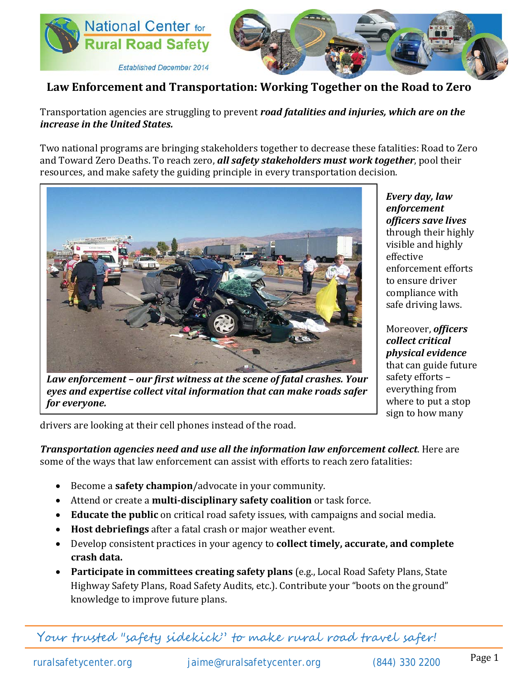



## **Law Enforcement and Transportation: Working Together on the Road to Zero**

Transportation agencies are struggling to prevent *road fatalities and injuries, which are on the increase in the United States.*

Two national programs are bringing stakeholders together to decrease these fatalities: Road to Zero and Toward Zero Deaths. To reach zero, *all safety stakeholders must work together*, pool their resources, and make safety the guiding principle in every transportation decision.



*Law enforcement – our first witness at the scene of fatal crashes. Your eyes and expertise collect vital information that can make roads safer for everyone.*

*Every day, law enforcement officers save lives*  through their highly visible and highly effective enforcement efforts to ensure driver compliance with safe driving laws.

Moreover, *officers collect critical physical evidence* that can guide future safety efforts – everything from where to put a stop sign to how many

drivers are looking at their cell phones instead of the road.

*Transportation agencies need and use all the information law enforcement collect*. Here are some of the ways that law enforcement can assist with efforts to reach zero fatalities:

- Become a **safety champion**/advocate in your community.
- Attend or create a **multi-disciplinary safety coalition** or task force.
- **Educate the public** on critical road safety issues, with campaigns and social media.
- **Host debriefings** after a fatal crash or major weather event.
- Develop consistent practices in your agency to **collect timely, accurate, and complete crash data.**
- **Participate in committees creating safety plans** (e.g., Local Road Safety Plans, State Highway Safety Plans, Road Safety Audits, etc.). Contribute your "boots on the ground" knowledge to improve future plans.

Your trusted "safety sidekick" to make rural road travel safer!

ruralsafetycenter.org [jaime@ruralsafetycenter.org](mailto:jaime@ruralsafetycenter.org) (844) 330 2200